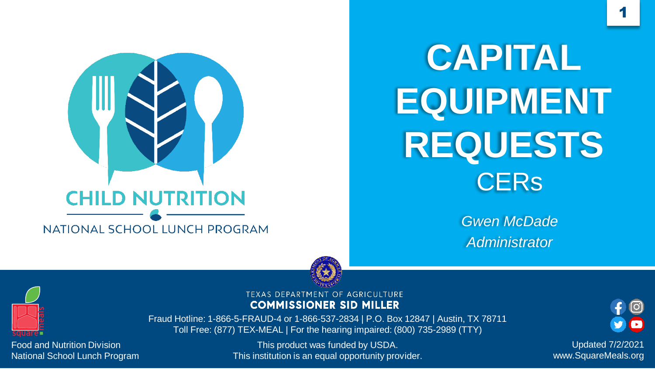

## **CAPITAL EQUIPMENT REQUESTS CERs**

*Gwen McDade Administrator*



Food and Nutrition Division National School Lunch Program TEXAS DEPARTMENT OF AGRICULTURE **COMMISSIONER SID MILLER** 

Fraud Hotline: 1-866-5-FRAUD-4 or 1-866-537-2834 | P.O. Box 12847 | Austin, TX 78711 Toll Free: (877) TEX-MEAL | For the hearing impaired: (800) 735-2989 (TTY)

> This product was funded by USDA. This institution is an equal opportunity provider.



Updated 7/2/2021 www.SquareMeals.org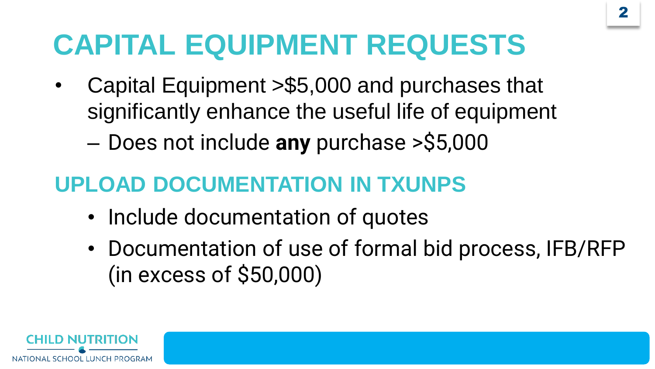### **CAPITAL EQUIPMENT REQUESTS**

- Capital Equipment >\$5,000 and purchases that significantly enhance the useful life of equipment
	- Does not include **any** purchase >\$5,000

#### **UPLOAD DOCUMENTATION IN TXUNPS**

- Include documentation of quotes
- Documentation of use of formal bid process, IFB/RFP (in excess of \$50,000)

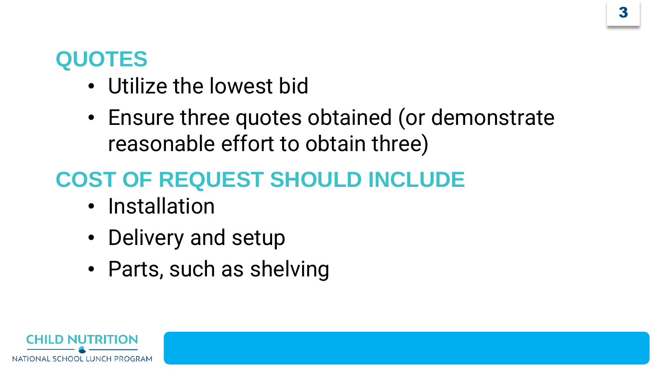#### **QUOTES**

- Utilize the lowest bid
- Ensure three quotes obtained (or demonstrate reasonable effort to obtain three)

#### **COST OF REQUEST SHOULD INCLUDE**

- Installation
- Delivery and setup
- Parts, such as shelving

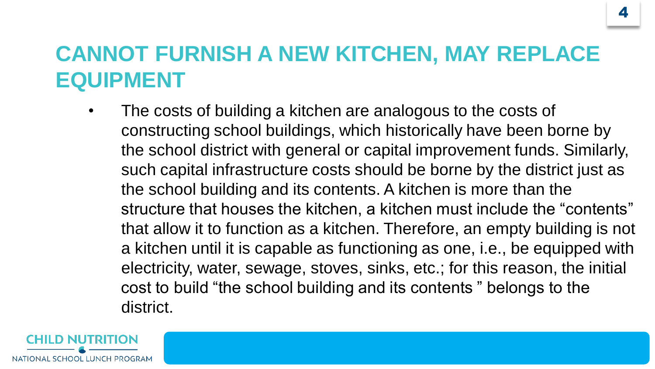#### **CANNOT FURNISH A NEW KITCHEN, MAY REPLACE EQUIPMENT**

The costs of building a kitchen are analogous to the costs of constructing school buildings, which historically have been borne by the school district with general or capital improvement funds. Similarly, such capital infrastructure costs should be borne by the district just as the school building and its contents. A kitchen is more than the structure that houses the kitchen, a kitchen must include the "contents" that allow it to function as a kitchen. Therefore, an empty building is not a kitchen until it is capable as functioning as one, i.e., be equipped with electricity, water, sewage, stoves, sinks, etc.; for this reason, the initial cost to build "the school building and its contents " belongs to the district.

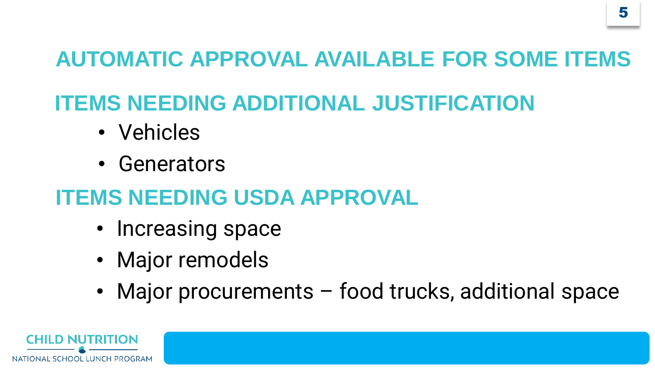#### **AUTOMATIC APPROVAL AVAILABLE FOR SOME ITEMS**

#### **ITEMS NEEDING ADDITIONAL JUSTIFICATION**

- Vehicles
- Generators

#### **ITEMS NEEDING USDA APPROVAL**

- Increasing space
- Major remodels
- Major procurements food trucks, additional space

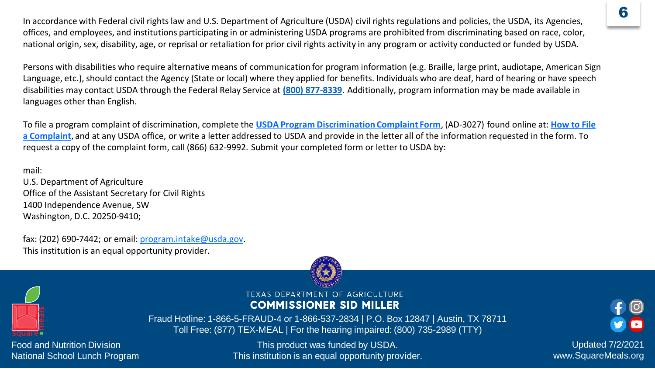In accordance with Federal civil rights law and U.S. Department of Agriculture (USDA) civil rights regulations and policies, the USDA, its Agencies, offices, and employees, and institutions participating in or administering USDA programs are prohibited from discriminating based on race, color, national origin, sex, disability, age, or reprisal or retaliation for prior civil rights activity in any program or activity conducted or funded by USDA.

Persons with disabilities who require alternative means of communication for program information (e.g. Braille, large print, audiotape, American Sign Language, etc.), should contact the Agency (State or local) where they applied for benefits. Individuals who are deaf, hard of hearing or have speech disabilities may contact USDA through the Federal Relay Service at **[\(800\) 877-8339](tel:800-877-8339)**. Additionally, program information may be made available in languages other than English.

To file a program complaint of discrimination, complete the **[USDA Program Discrimination Complaint Form](https://www.usda.gov/sites/default/files/documents/USDA-OASCR%20P-Complaint-Form-0508-0002-508-11-28-17Fax2Mail.pdf)**, (AD-3027) found online at: **How to File a Complaint**[, and at any USDA office, or write a letter addressed to USDA and provide in the letter all of the information requested in the form. To](https://www.usda.gov/oascr/how-to-file-a-program-discrimination-complaint)  request a copy of the complaint form, call (866) 632-9992. Submit your completed form or letter to USDA by:

mail:

U.S. Department of Agriculture Office of the Assistant Secretary for Civil Rights 1400 Independence Avenue, SW Washington, D.C. 20250-9410;

fax: (202) 690-7442; or email: [program.intake@usda.gov](mailto:program.intake@usda.gov). This institution is an equal opportunity provider.





Food and Nutrition Division National School Lunch Program

Fraud Hotline: 1-866-5-FRAUD-4 or 1-866-537-2834 | P.O. Box 12847 | Austin, TX 78711 Toll Free: (877) TEX-MEAL | For the hearing impaired: (800) 735-2989 (TTY)

**COMMISSIONER SID MILLER** 

This product was funded by USDA. This institution is an equal opportunity provider.



Updated 7/2/2021 www.SquareMeals.org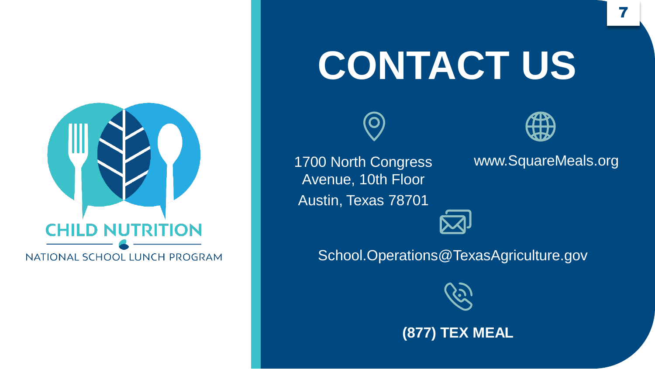

## **CONTACT US**



1700 North Congress Avenue, 10th Floor Austin, Texas 78701



www.SquareMeals.org



School.Operations@TexasAgriculture.gov